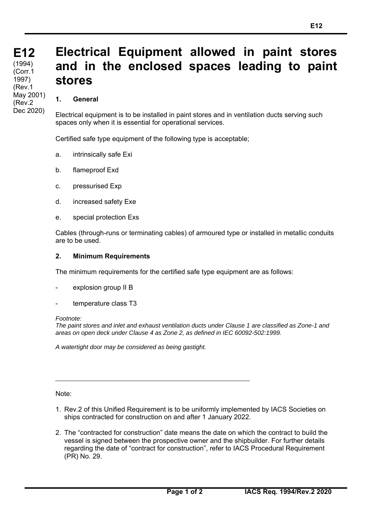# **Electrical Equipment allowed in paint stores and in the enclosed spaces leading to paint stores**

## **1. General**

Electrical equipment is to be installed in paint stores and in ventilation ducts serving such spaces only when it is essential for operational services.

Certified safe type equipment of the following type is acceptable;

- a. intrinsically safe Exi
- b. flameproof Exd
- c. pressurised Exp
- d. increased safety Exe
- e. special protection Exs

Cables (through-runs or terminating cables) of armoured type or installed in metallic conduits are to be used.

### **2. Minimum Requirements**

The minimum requirements for the certified safe type equipment are as follows:

- explosion group II B
- temperature class T3

#### *Footnote:*

*The paint stores and inlet and exhaust ventilation ducts under Clause 1 are classified as Zone-1 and areas on open deck under Clause 4 as Zone 2, as defined in IEC 60092-502:1999.* 

*A watertight door may be considered as being gastight.* 

Note:

 $\overline{a}$ 

- 1. Rev.2 of this Unified Requirement is to be uniformly implemented by IACS Societies on ships contracted for construction on and after 1 January 2022.
- 2. The "contracted for construction" date means the date on which the contract to build the vessel is signed between the prospective owner and the shipbuilder. For further details regarding the date of "contract for construction", refer to IACS Procedural Requirement (PR) No. 29.